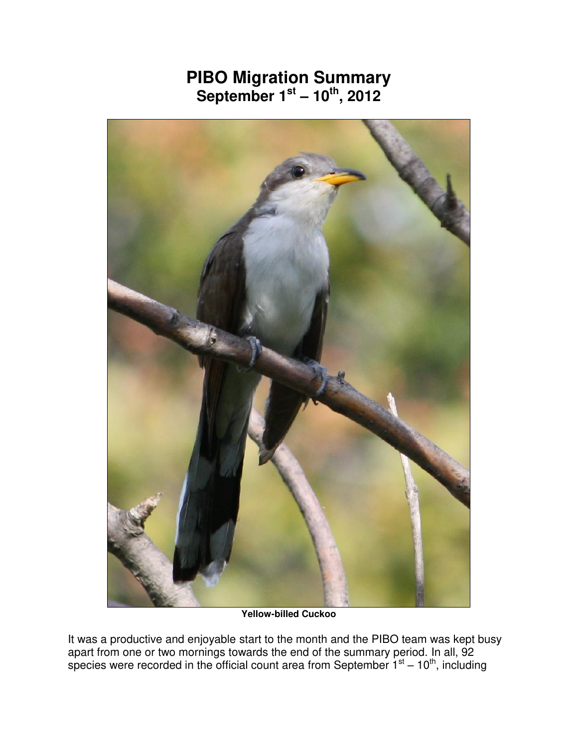## **PIBO Migration Summary September 1st – 10th, 2012**



**Yellow-billed Cuckoo** 

It was a productive and enjoyable start to the month and the PIBO team was kept busy apart from one or two mornings towards the end of the summary period. In all, 92 species were recorded in the official count area from September  $1<sup>st</sup> - 10<sup>th</sup>$ , including